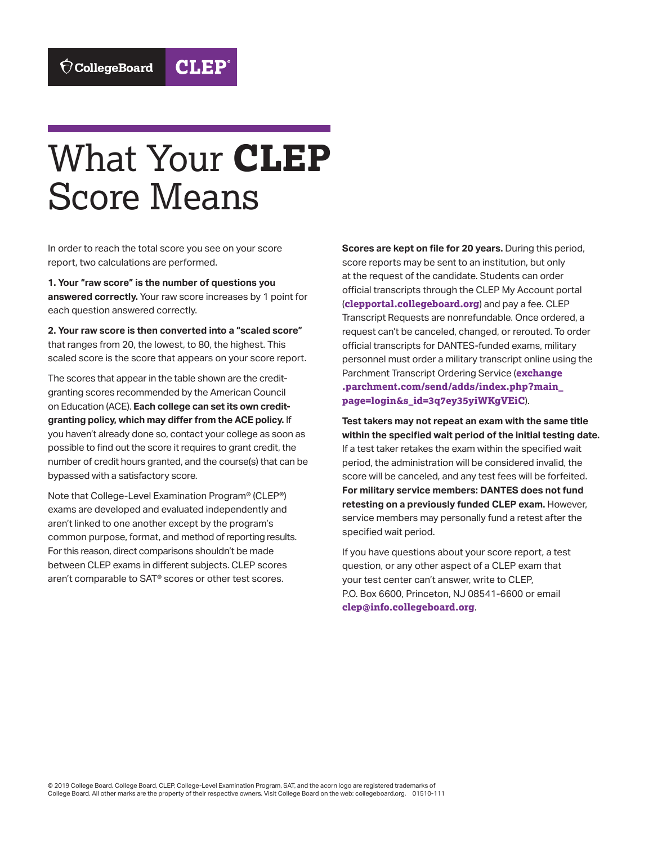## What Your **CLEP** Score Means

**CLEP** 

In order to reach the total score you see on your score report, two calculations are performed.

**1. Your "raw score" is the number of questions you answered correctly.** Your raw score increases by 1 point for each question answered correctly.

**2. Your raw score is then converted into a "scaled score"**  that ranges from 20, the lowest, to 80, the highest. This scaled score is the score that appears on your score report.

The scores that appear in the table shown are the creditgranting scores recommended by the American Council on Education (ACE). **Each college can set its own creditgranting policy, which may differ from the ACE policy.** If you haven't already done so, contact your college as soon as possible to find out the score it requires to grant credit, the number of credit hours granted, and the course(s) that can be bypassed with a satisfactory score.

 For this reason, direct comparisons shouldn't be made between CLEP exams in different subjects. CLEP scores Note that College-Level Examination Program® (CLEP®) exams are developed and evaluated independently and aren't linked to one another except by the program's common purpose, format, and method of reporting results. aren't comparable to SAT® scores or other test scores.

**Scores are kept on file for 20 years.** During this period, score reports may be sent to an institution, but only at the request of the candidate. Students can order official transcripts through the CLEP My Account portal (**[clepportal.collegeboard.org](http://clepportal.collegeboard.org)**) and pay a fee. CLEP Transcript Requests are nonrefundable. Once ordered, a request can't be canceled, changed, or rerouted. To order official transcripts for DANTES-funded exams, military personnel must order a military transcript online using the Parchment Transcript Ordering Service (**[exchange](https://exchange.parchment.com/send/adds/index.php?main_page=login&s_id=3q7ey35yiWKgVEiC)  [.parchment.com/send/adds/index.php?main\\_](https://exchange.parchment.com/send/adds/index.php?main_page=login&s_id=3q7ey35yiWKgVEiC)  [page=login&s\\_id=3q7ey35yiWKgVEiC](https://exchange.parchment.com/send/adds/index.php?main_page=login&s_id=3q7ey35yiWKgVEiC)**).

**Test takers may not repeat an exam with the same title within the specified wait period of the initial testing date.**  If a test taker retakes the exam within the specified wait period, the administration will be considered invalid, the score will be canceled, and any test fees will be forfeited. **For military service members: DANTES does not fund retesting on a previously funded CLEP exam.** However, service members may personally fund a retest after the specified wait period.

If you have questions about your score report, a test question, or any other aspect of a CLEP exam that your test center can't answer, write to CLEP, P.O. Box 6600, Princeton, NJ 08541-6600 or email **[clep@info.collegeboard.org](mailto:clep@info.collegeboard.org)**.